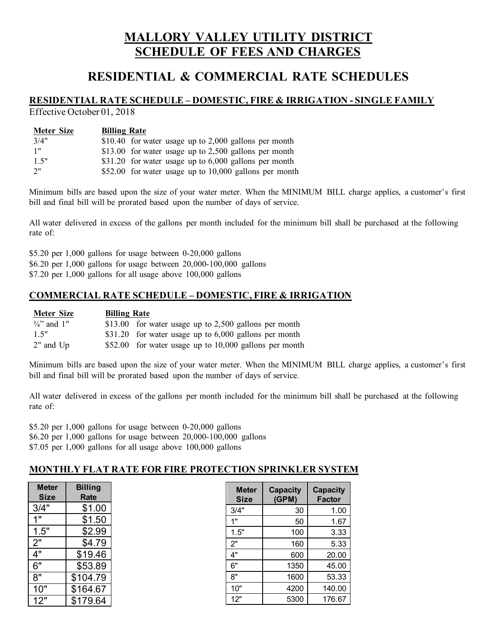# **MALLORY VALLEY UTILITY DISTRICT SCHEDULE OF FEES AND CHARGES**

# **RESIDENTIAL & COMMERCIAL RATE SCHEDULES**

# **RESIDENTIAL RATE SCHEDULE – DOMESTIC, FIRE & IRRIGATION - SINGLE FAMILY**

Effective October 01, 2018

| <b>Meter Size</b> | <b>Billing Rate</b>                                     |
|-------------------|---------------------------------------------------------|
| 3/4"              | \$10.40 for water usage up to 2,000 gallons per month   |
| 1"                | \$13.00 for water usage up to $2,500$ gallons per month |
| 1.5"              | \$31.20 for water usage up to $6,000$ gallons per month |
| 2"                | \$52.00 for water usage up to 10,000 gallons per month  |

Minimum bills are based upon the size of your water meter. When the MINIMUM BILL charge applies, a customer's first bill and final bill will be prorated based upon the number of days of service.

All water delivered in excess of the gallons per month included for the minimum bill shall be purchased at the following rate of:

\$5.20 per 1,000 gallons for usage between 0-20,000 gallons \$6.20 per 1,000 gallons for usage between 20,000-100,000 gallons \$7.20 per 1,000 gallons for all usage above 100,000 gallons

## **COMMERCIAL RATE SCHEDULE – DOMESTIC, FIRE & IRRIGATION**

| Meter Size           | <b>Billing Rate</b>                                     |  |
|----------------------|---------------------------------------------------------|--|
| $\frac{3}{4}$ and 1" | \$13.00 for water usage up to 2,500 gallons per month   |  |
| 1.5"                 | \$31.20 for water usage up to $6,000$ gallons per month |  |
| $2$ " and $Up$       | \$52.00 for water usage up to 10,000 gallons per month  |  |

Minimum bills are based upon the size of your water meter. When the MINIMUM BILL charge applies, a customer's first bill and final bill will be prorated based upon the number of days of service.

All water delivered in excess of the gallons per month included for the minimum bill shall be purchased at the following rate of:

\$5.20 per 1,000 gallons for usage between 0-20,000 gallons \$6.20 per 1,000 gallons for usage between 20,000-100,000 gallons \$7.05 per 1,000 gallons for all usage above 100,000 gallons

## **MONTHLY FLAT RATE FOR FIRE PROTECTION SPRINKLER SYSTEM**

| <b>Meter</b><br><b>Size</b> | Billing<br>Rate |
|-----------------------------|-----------------|
| 3/4"                        | \$1.00          |
| 1                           | \$1.50          |
| 1.5"                        | \$2.99          |
| 2"                          | \$4.79          |
| 4"                          | \$19.46         |
| 6"                          | \$53.89         |
| 8"                          | \$104.79        |
| 10                          | \$164.67        |
| 12"                         | \$179.64        |

| <b>Meter</b><br>Size | <b>Capacity</b><br>(GPM) | <b>Capacity</b><br><b>Factor</b> |
|----------------------|--------------------------|----------------------------------|
| 3/4"                 | 30                       | 1.00                             |
| 1"                   | 50                       | 1.67                             |
| 1.5"                 | 100                      | 3.33                             |
| 2"                   | 160                      | 5.33                             |
| 4"                   | 600                      | 20.00                            |
| 6"                   | 1350                     | 45.00                            |
| 8"                   | 1600                     | 53.33                            |
| 10"                  | 4200                     | 140.00                           |
| 12"                  | 5300                     | 176.67                           |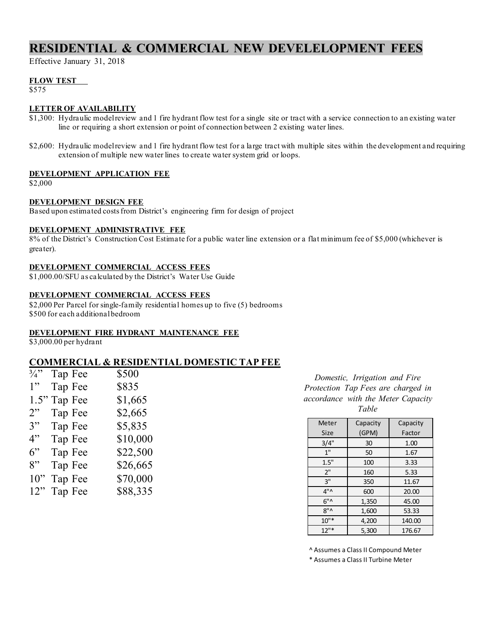# **RESIDENTIAL & COMMERCIAL NEW DEVELELOPMENT FEES**

Effective January 31, 2018

### **FLOW TEST**

\$575

### **LETTER OF AVAILABILITY**

- \$1,300: Hydraulic model review and 1 fire hydrant flow test for a single site or tract with a service connection to an existing water line or requiring a short extension or point of connection between 2 existing water lines.
- \$2,600: Hydraulic model review and 1 fire hydrant flow test for a large tract with multiple sites within the development and requiring extension of multiple new water lines to create water system grid or loops.

#### **DEVELOPMENT APPLICATION FEE**

\$2,000

#### **DEVELOPMENT DESIGN FEE**

Based upon estimated costs from District's engineering firm for design of project

#### **DEVELOPMENT ADMINISTRATIVE FEE**

8% of the District's Construction Cost Estimate for a public water line extension or a flat minimum fee of \$5,000 (whichever is greater).

### **DEVELOPMENT COMMERCIAL ACCESS FEES**

\$1,000.00/SFU as calculated by the District's Water Use Guide

#### **DEVELOPMENT COMMERCIAL ACCESS FEES**

\$2,000 Per Parcel for single-family residential homes up to five (5) bedrooms \$500 for each additional bedroom

#### **DEVELOPMENT FIRE HYDRANT MAINTENANCE FEE**

\$3,000.00 per hydrant

## **COMMERCIAL & RESIDENTIAL DOMESTIC TAP FEE**

| $\frac{3}{4}$ " | Tap Fee | \$500    |
|-----------------|---------|----------|
| 1"              | Tap Fee | \$835    |
| 1.5"            | Tap Fee | \$1,665  |
| 2"              | Tap Fee | \$2,665  |
| 3"              | Tap Fee | \$5,835  |
| 4"              | Tap Fee | \$10,000 |
| $6$ "           | Tap Fee | \$22,500 |
| 8"              | Tap Fee | \$26,665 |
| 10"             | Tap Fee | \$70,000 |
| 12"             | Tap Fee | \$88,335 |

*Domestic, Irrigation and Fire Protection Tap Fees are charged in accordance with the Meter Capacity Table*

| Meter         | Capacity | Capacity |
|---------------|----------|----------|
| Size          | (GPM)    | Factor   |
| 3/4"          | 30       | 1.00     |
| 1"            | 50       | 1.67     |
| 1.5"          | 100      | 3.33     |
| 2"            | 160      | 5.33     |
| 3"            | 350      | 11.67    |
| $4"^{\wedge}$ | 600      | 20.00    |
| $6"^{\wedge}$ | 1,350    | 45.00    |
| 8"            | 1,600    | 53.33    |
| $10"$ *       | 4,200    | 140.00   |
| $12"$ *       | 5,300    | 176.67   |

^ Assumes a Class II Compound Meter

\* Assumes a Class II Turbine Meter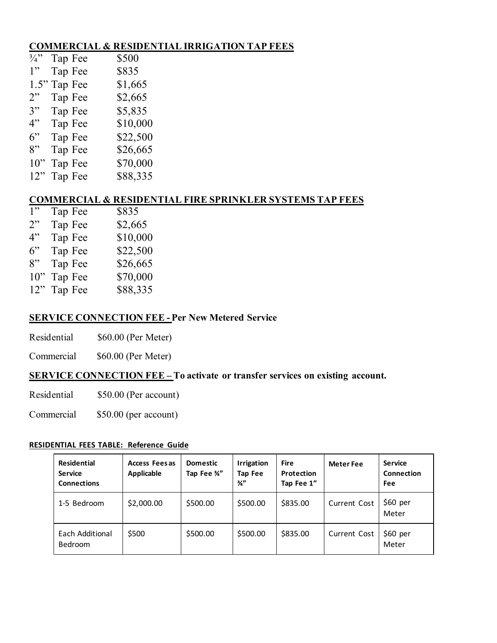# **COMMERCIAL & RESIDENTIAL IRRIGATION TAP FEES**

| $\frac{3}{4}$ " | Tap Fee | \$500    |
|-----------------|---------|----------|
| 1"              | Tap Fee | \$835    |
| 1.5"            | Tap Fee | \$1,665  |
| 2"              | Tap Fee | \$2,665  |
| 3"              | Tap Fee | \$5,835  |
| 4"              | Tap Fee | \$10,000 |
| $6$ "           | Tap Fee | \$22,500 |
| 8"              | Tap Fee | \$26,665 |
| 10"             | Tap Fee | \$70,000 |
| 12"             | Tap Fee | \$88,335 |

# **COMMERCIAL & RESIDENTIAL FIRE SPRINKLER SYSTEMS TAP FEES**

| 1"     | Tap Fee | \$835    |
|--------|---------|----------|
| 2"     | Tap Fee | \$2,665  |
| 4"     | Tap Fee | \$10,000 |
| 6"     | Tap Fee | \$22,500 |
| 8"     | Tap Fee | \$26,665 |
| $10$ " | Tap Fee | \$70,000 |
| 12"    | Tap Fee | \$88,335 |
|        |         |          |

## **SERVICE CONNECTION FEE - Per New Metered Service**

Residential \$60.00 (Per Meter)

Commercial \$60.00 (Per Meter)

# **SERVICE CONNECTION FEE – To activate or transfer services on existing account.**

Residential \$50.00 (Per account)

Commercial \$50.00 (per account)

## **RESIDENTIAL FEES TABLE: Reference Guide**

| <b>Residential</b><br><b>Service</b><br><b>Connections</b> | Access Fees as<br>Applicable | <b>Domestic</b><br>Tap Fee 34" | <b>Irrigation</b><br>Tap Fee<br>$\frac{3}{4}$ | <b>Fire</b><br>Protection<br>Tap Fee 1" | <b>Meter Fee</b>    | <b>Service</b><br>Connection<br>Fee |
|------------------------------------------------------------|------------------------------|--------------------------------|-----------------------------------------------|-----------------------------------------|---------------------|-------------------------------------|
| 1-5 Bedroom                                                | \$2,000.00                   | \$500.00                       | \$500.00                                      | \$835.00                                | <b>Current Cost</b> | \$60~per<br>Meter                   |
| Each Additional<br>Bedroom                                 | \$500                        | \$500.00                       | \$500.00                                      | \$835.00                                | <b>Current Cost</b> | \$60 per<br>Meter                   |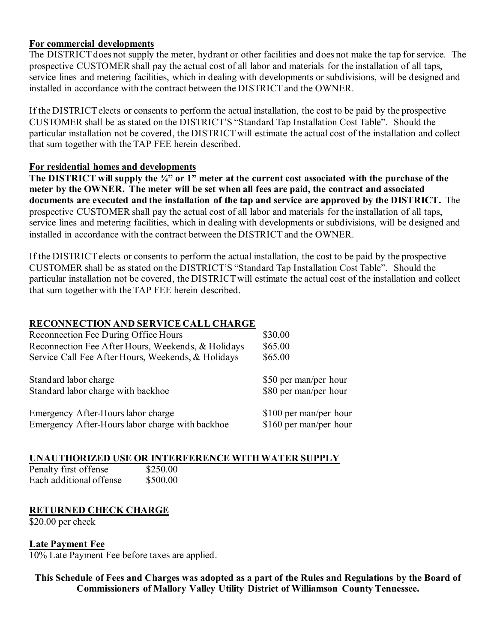## **For commercial developments**

The DISTRICT does not supply the meter, hydrant or other facilities and does not make the tap for service. The prospective CUSTOMER shall pay the actual cost of all labor and materials for the installation of all taps, service lines and metering facilities, which in dealing with developments or subdivisions, will be designed and installed in accordance with the contract between the DISTRICT and the OWNER.

If the DISTRICT elects or consents to perform the actual installation, the cost to be paid by the prospective CUSTOMER shall be as stated on the DISTRICT'S "Standard Tap Installation Cost Table". Should the particular installation not be covered, the DISTRICT will estimate the actual cost of the installation and collect that sum together with the TAP FEE herein described.

## **For residential homes and developments**

**The DISTRICT will supply the ¾" or 1" meter at the current cost associated with the purchase of the meter by the OWNER. The meter will be set when all fees are paid, the contract and associated documents are executed and the installation of the tap and service are approved by the DISTRICT.** The prospective CUSTOMER shall pay the actual cost of all labor and materials for the installation of all taps, service lines and metering facilities, which in dealing with developments or subdivisions, will be designed and installed in accordance with the contract between the DISTRICT and the OWNER.

If the DISTRICT elects or consents to perform the actual installation, the cost to be paid by the prospective CUSTOMER shall be as stated on the DISTRICT'S "Standard Tap Installation Cost Table". Should the particular installation not be covered, the DISTRICT will estimate the actual cost of the installation and collect that sum together with the TAP FEE herein described.

# **RECONNECTION AND SERVICE CALL CHARGE**

| Reconnection Fee During Office Hours               | \$30.00                |
|----------------------------------------------------|------------------------|
| Reconnection Fee After Hours, Weekends, & Holidays | \$65.00                |
| Service Call Fee After Hours, Weekends, & Holidays | \$65.00                |
| Standard labor charge                              | \$50 per man/per hour  |
| Standard labor charge with backhoe                 | \$80 per man/per hour  |
| Emergency After-Hours labor charge                 | \$100 per man/per hour |
| Emergency After-Hours labor charge with backhoe    | \$160 per man/per hour |

## **UNAUTHORIZED USE OR INTERFERENCE WITH WATER SUPPLY**

| Penalty first offense   | \$250.00 |
|-------------------------|----------|
| Each additional offense | \$500.00 |

# **RETURNED CHECK CHARGE**

\$20.00 per check

## **Late Payment Fee**

10% Late Payment Fee before taxes are applied.

**This Schedule of Fees and Charges was adopted as a part of the Rules and Regulations by the Board of Commissioners of Mallory Valley Utility District of Williamson County Tennessee.**